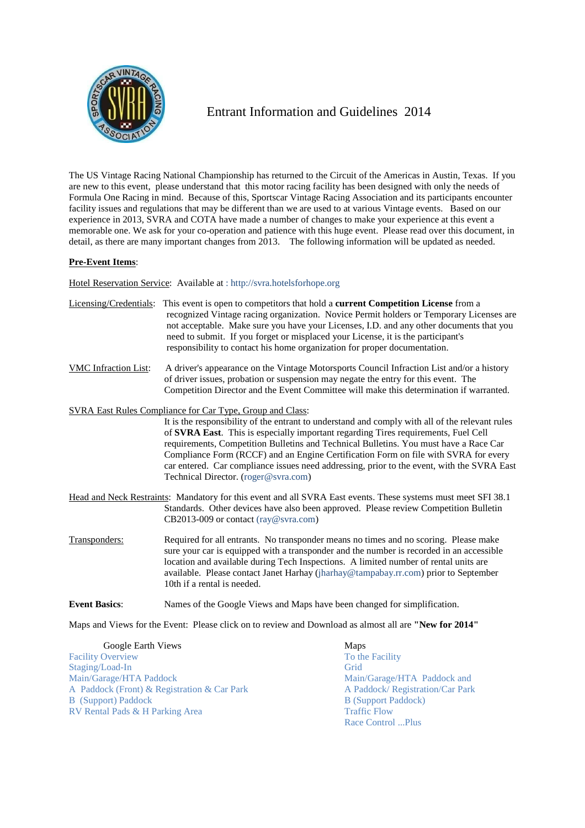

## Entrant Information and Guidelines 2014

The US Vintage Racing National Championship has returned to the Circuit of the Americas in Austin, Texas. If you are new to this event, please understand that this motor racing facility has been designed with only the needs of Formula One Racing in mind. Because of this, Sportscar Vintage Racing Association and its participants encounter facility issues and regulations that may be different than we are used to at various Vintage events. Based on our experience in 2013, SVRA and COTA have made a number of changes to make your experience at this event a memorable one. We ask for your co-operation and patience with this huge event. Please read over this document, in detail, as there are many important changes from 2013. The following information will be updated as needed.

## **Pre-Event Items**:

Hotel Reservation Service: Available at : http://svra.hotelsforhope.org

| Licensing/Credentials:      | This event is open to competitors that hold a <b>current Competition License</b> from a<br>recognized Vintage racing organization. Novice Permit holders or Temporary Licenses are<br>not acceptable. Make sure you have your Licenses, I.D. and any other documents that you<br>need to submit. If you forget or misplaced your License, it is the participant's<br>responsibility to contact his home organization for proper documentation.                                                              |
|-----------------------------|-------------------------------------------------------------------------------------------------------------------------------------------------------------------------------------------------------------------------------------------------------------------------------------------------------------------------------------------------------------------------------------------------------------------------------------------------------------------------------------------------------------|
| <b>VMC</b> Infraction List: | A driver's appearance on the Vintage Motorsports Council Infraction List and/or a history<br>of driver issues, probation or suspension may negate the entry for this event. The<br>Competition Director and the Event Committee will make this determination if warranted.                                                                                                                                                                                                                                  |
|                             | SVRA East Rules Compliance for Car Type, Group and Class:                                                                                                                                                                                                                                                                                                                                                                                                                                                   |
|                             | It is the responsibility of the entrant to understand and comply with all of the relevant rules<br>of SVRA East. This is especially important regarding Tires requirements, Fuel Cell<br>requirements, Competition Bulletins and Technical Bulletins. You must have a Race Car<br>Compliance Form (RCCF) and an Engine Certification Form on file with SVRA for every<br>car entered. Car compliance issues need addressing, prior to the event, with the SVRA East<br>Technical Director. (roger@svra.com) |
|                             | Head and Neck Restraints: Mandatory for this event and all SVRA East events. These systems must meet SFI 38.1<br>Standards. Other devices have also been approved. Please review Competition Bulletin<br>CB2013-009 or contact (ray@svra.com)                                                                                                                                                                                                                                                               |
| Transponders:               | Required for all entrants. No transponder means no times and no scoring. Please make<br>sure your car is equipped with a transponder and the number is recorded in an accessible<br>location and available during Tech Inspections. A limited number of rental units are<br>available. Please contact Janet Harhay (jharhay@tampabay.rr.com) prior to September<br>10th if a rental is needed.                                                                                                              |
| <b>Event Basics:</b>        | Names of the Google Views and Maps have been changed for simplification.                                                                                                                                                                                                                                                                                                                                                                                                                                    |
|                             | $M = -137^\circ$ and $T = 70^\circ$ and $T = 10^\circ$ and $T = 10^\circ$ and $T = 10^\circ$ and $T = 10^\circ$ and $T = 10^\circ$                                                                                                                                                                                                                                                                                                                                                                          |

Maps and Views for the Event: Please click on to review and Download as almost all are **"New for 2014"**

| Google Earth Views                          | Maps                             |
|---------------------------------------------|----------------------------------|
| <b>Facility Overview</b>                    | To the Facility                  |
| Staging/Load-In                             | Grid                             |
| Main/Garage/HTA Paddock                     | Main/Garage/HTA Paddock and      |
| A Paddock (Front) & Registration & Car Park | A Paddock/ Registration/Car Park |
| <b>B</b> (Support) Paddock                  | <b>B</b> (Support Paddock)       |
| RV Rental Pads & H Parking Area             | <b>Traffic Flow</b>              |
|                                             | Race Control Plus                |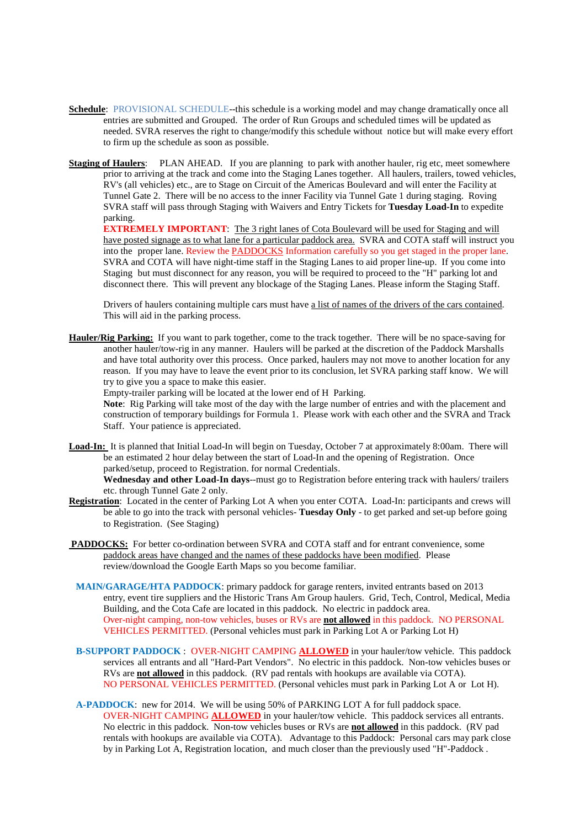- **Schedule**: PROVISIONAL SCHEDULE--this schedule is a working model and may change dramatically once all entries are submitted and Grouped. The order of Run Groups and scheduled times will be updated as needed. SVRA reserves the right to change/modify this schedule without notice but will make every effort to firm up the schedule as soon as possible.
- **Staging of Haulers:** PLAN AHEAD. If you are planning to park with another hauler, rig etc, meet somewhere prior to arriving at the track and come into the Staging Lanes together. All haulers, trailers, towed vehicles, RV's (all vehicles) etc., are to Stage on Circuit of the Americas Boulevard and will enter the Facility at Tunnel Gate 2. There will be no access to the inner Facility via Tunnel Gate 1 during staging. Roving SVRA staff will pass through Staging with Waivers and Entry Tickets for **Tuesday Load-In** to expedite parking.

**EXTREMELY IMPORTANT:** The 3 right lanes of Cota Boulevard will be used for Staging and will have posted signage as to what lane for a particular paddock area. SVRA and COTA staff will instruct you into the proper lane. Review the PADDOCKS Information carefully so you get staged in the proper lane. SVRA and COTA will have night-time staff in the Staging Lanes to aid proper line-up. If you come into Staging but must disconnect for any reason, you will be required to proceed to the "H" parking lot and disconnect there. This will prevent any blockage of the Staging Lanes. Please inform the Staging Staff.

Drivers of haulers containing multiple cars must have a list of names of the drivers of the cars contained. This will aid in the parking process.

**Hauler/Rig Parking:** If you want to park together, come to the track together. There will be no space-saving for another hauler/tow-rig in any manner. Haulers will be parked at the discretion of the Paddock Marshalls and have total authority over this process. Once parked, haulers may not move to another location for any reason. If you may have to leave the event prior to its conclusion, let SVRA parking staff know. We will try to give you a space to make this easier.

Empty-trailer parking will be located at the lower end of H Parking.

**Note**: Rig Parking will take most of the day with the large number of entries and with the placement and construction of temporary buildings for Formula 1. Please work with each other and the SVRA and Track Staff. Your patience is appreciated.

**Load-In:** It is planned that Initial Load-In will begin on Tuesday, October 7 at approximately 8:00am. There will be an estimated 2 hour delay between the start of Load-In and the opening of Registration. Once parked/setup, proceed to Registration. for normal Credentials.

**Wednesday and other Load-In days**--must go to Registration before entering track with haulers/ trailers etc. through Tunnel Gate 2 only.

- **Registration**: Located in the center of Parking Lot A when you enter COTA. Load-In: participants and crews will be able to go into the track with personal vehicles- **Tuesday Only** - to get parked and set-up before going to Registration. (See Staging)
- **PADDOCKS:** For better co-ordination between SVRA and COTA staff and for entrant convenience, some paddock areas have changed and the names of these paddocks have been modified. Please review/download the Google Earth Maps so you become familiar.
	- **MAIN/GARAGE/HTA PADDOCK**: primary paddock for garage renters, invited entrants based on 2013 entry, event tire suppliers and the Historic Trans Am Group haulers. Grid, Tech, Control, Medical, Media Building, and the Cota Cafe are located in this paddock. No electric in paddock area. Over-night camping, non-tow vehicles, buses or RVs are **not allowed** in this paddock. NO PERSONAL VEHICLES PERMITTED. (Personal vehicles must park in Parking Lot A or Parking Lot H)
	- **B-SUPPORT PADDOCK** : OVER-NIGHT CAMPING **ALLOWED** in your hauler/tow vehicle. This paddock services all entrants and all "Hard-Part Vendors". No electric in this paddock. Non-tow vehicles buses or RVs are **not allowed** in this paddock. (RV pad rentals with hookups are available via COTA). NO PERSONAL VEHICLES PERMITTED. (Personal vehicles must park in Parking Lot A or Lot H).
	- **A-PADDOCK**: new for 2014. We will be using 50% of PARKING LOT A for full paddock space. OVER-NIGHT CAMPING **ALLOWED** in your hauler/tow vehicle. This paddock services all entrants. No electric in this paddock. Non-tow vehicles buses or RVs are **not allowed** in this paddock. (RV pad rentals with hookups are available via COTA). Advantage to this Paddock: Personal cars may park close by in Parking Lot A, Registration location, and much closer than the previously used "H"-Paddock .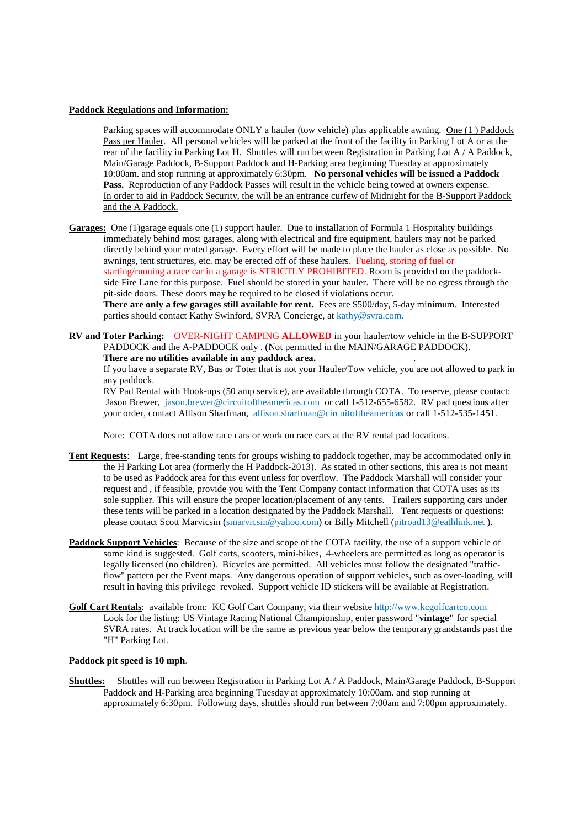## **Paddock Regulations and Information:**

 Parking spaces will accommodate ONLY a hauler (tow vehicle) plus applicable awning. One (1 ) Paddock Pass per Hauler. All personal vehicles will be parked at the front of the facility in Parking Lot A or at the rear of the facility in Parking Lot H. Shuttles will run between Registration in Parking Lot A / A Paddock, Main/Garage Paddock, B-Support Paddock and H-Parking area beginning Tuesday at approximately 10:00am. and stop running at approximately 6:30pm. **No personal vehicles will be issued a Paddock Pass.** Reproduction of any Paddock Passes will result in the vehicle being towed at owners expense. In order to aid in Paddock Security, the will be an entrance curfew of Midnight for the B-Support Paddock and the A Paddock.

**Garages:** One (1)garage equals one (1) support hauler. Due to installation of Formula 1 Hospitality buildings immediately behind most garages, along with electrical and fire equipment, haulers may not be parked directly behind your rented garage. Every effort will be made to place the hauler as close as possible. No awnings, tent structures, etc. may be erected off of these haulers. Fueling, storing of fuel or starting/running a race car in a garage is STRICTLY PROHIBITED. Room is provided on the paddock side Fire Lane for this purpose. Fuel should be stored in your hauler. There will be no egress through the pit-side doors. These doors may be required to be closed if violations occur.

**There are only a few garages still available for rent.** Fees are \$500/day, 5-day minimum. Interested parties should contact Kathy Swinford, SVRA Concierge, at kathy@svra.com.

**RV and Toter Parking:** OVER-NIGHT CAMPING **ALLOWED** in your hauler/tow vehicle in the B-SUPPORT PADDOCK and the A-PADDOCK only . (Not permitted in the MAIN/GARAGE PADDOCK). **There are no utilities available in any paddock area.** .

 If you have a separate RV, Bus or Toter that is not your Hauler/Tow vehicle, you are not allowed to park in any paddock.

 RV Pad Rental with Hook-ups (50 amp service), are available through COTA. To reserve, please contact: Jason Brewer, jason.brewer@circuitoftheamericas.com or call 1-512-655-6582. RV pad questions after your order, contact Allison Sharfman, allison.sharfman@circuitoftheamericas or call 1-512-535-1451.

Note: COTA does not allow race cars or work on race cars at the RV rental pad locations.

- **Tent Requests**: Large, free-standing tents for groups wishing to paddock together, may be accommodated only in the H Parking Lot area (formerly the H Paddock-2013). As stated in other sections, this area is not meant to be used as Paddock area for this event unless for overflow. The Paddock Marshall will consider your request and , if feasible, provide you with the Tent Company contact information that COTA uses as its sole supplier. This will ensure the proper location/placement of any tents. Trailers supporting cars under these tents will be parked in a location designated by the Paddock Marshall. Tent requests or questions: please contact Scott Marvicsin (smarvicsin@yahoo.com) or Billy Mitchell (pitroad13@eathlink.net ).
- **Paddock Support Vehicles**: Because of the size and scope of the COTA facility, the use of a support vehicle of some kind is suggested. Golf carts, scooters, mini-bikes, 4-wheelers are permitted as long as operator is legally licensed (no children). Bicycles are permitted. All vehicles must follow the designated "traffic flow" pattern per the Event maps. Any dangerous operation of support vehicles, such as over-loading, will result in having this privilege revoked. Support vehicle ID stickers will be available at Registration.
- **Golf Cart Rentals**: available from: KC Golf Cart Company, via their website http://www.kcgolfcartco.com Look for the listing: US Vintage Racing National Championship, enter password "**vintage"** for special SVRA rates. At track location will be the same as previous year below the temporary grandstands past the "H" Parking Lot.

## **Paddock pit speed is 10 mph**.

**Shuttles:** Shuttles will run between Registration in Parking Lot A / A Paddock, Main/Garage Paddock, B-Support Paddock and H-Parking area beginning Tuesday at approximately 10:00am. and stop running at approximately 6:30pm. Following days, shuttles should run between 7:00am and 7:00pm approximately.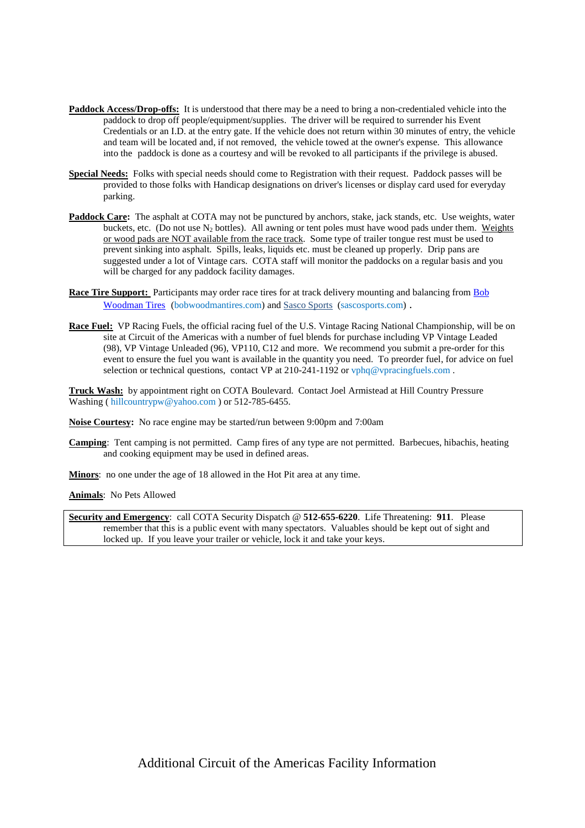- **Paddock Access/Drop-offs:** It is understood that there may be a need to bring a non-credentialed vehicle into the paddock to drop off people/equipment/supplies. The driver will be required to surrender his Event Credentials or an I.D. at the entry gate. If the vehicle does not return within 30 minutes of entry, the vehicle and team will be located and, if not removed, the vehicle towed at the owner's expense. This allowance into the paddock is done as a courtesy and will be revoked to all participants if the privilege is abused.
- **Special Needs:** Folks with special needs should come to Registration with their request. Paddock passes will be provided to those folks with Handicap designations on driver's licenses or display card used for everyday parking.
- **Paddock Care:** The asphalt at COTA may not be punctured by anchors, stake, jack stands, etc. Use weights, water buckets, etc. (Do not use  $N_2$  bottles). All awning or tent poles must have wood pads under them. Weights or wood pads are NOT available from the race track. Some type of trailer tongue rest must be used to prevent sinking into asphalt. Spills, leaks, liquids etc. must be cleaned up properly. Drip pans are suggested under a lot of Vintage cars. COTA staff will monitor the paddocks on a regular basis and you will be charged for any paddock facility damages.
- **Race Tire Support:** Participants may order race tires for at track delivery mounting and balancing from Bob Woodman Tires (bobwoodmantires.com) and Sasco Sports (sascosports.com) .
- **Race Fuel:** VP Racing Fuels, the official racing fuel of the U.S. Vintage Racing National Championship, will be on site at Circuit of the Americas with a number of fuel blends for purchase including VP Vintage Leaded (98), VP Vintage Unleaded (96), VP110, C12 and more. We recommend you submit a pre-order for this event to ensure the fuel you want is available in the quantity you need. To preorder fuel, for advice on fuel selection or technical questions, contact VP at  $210-241-1192$  or vphq@vpracingfuels.com.

**Truck Wash:** by appointment right on COTA Boulevard. Contact Joel Armistead at Hill Country Pressure Washing (hillcountrypw@yahoo.com) or 512-785-6455.

**Noise Courtesy:** No race engine may be started/run between 9:00pm and 7:00am

**Camping**: Tent camping is not permitted. Camp fires of any type are not permitted. Barbecues, hibachis, heating and cooking equipment may be used in defined areas.

**Minors**: no one under the age of 18 allowed in the Hot Pit area at any time.

**Animals**: No Pets Allowed

**Security and Emergency**: call COTA Security Dispatch @ **512-655-6220**. Life Threatening: **911**. Please remember that this is a public event with many spectators. Valuables should be kept out of sight and locked up. If you leave your trailer or vehicle, lock it and take your keys.